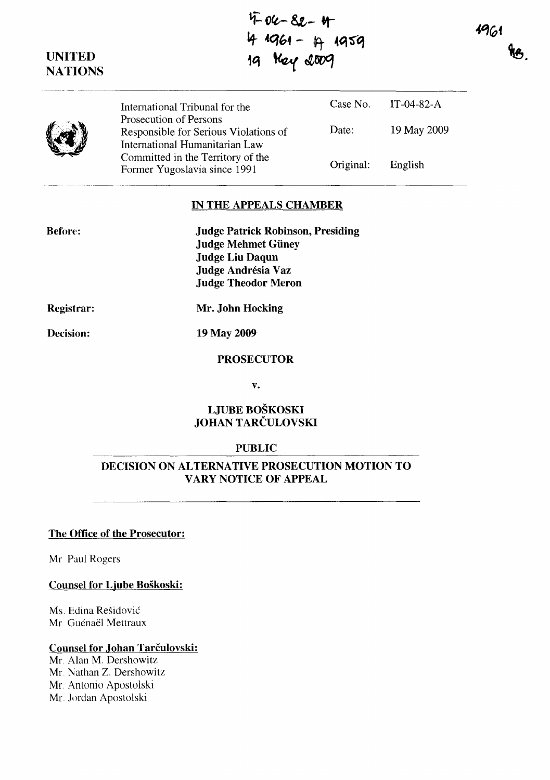~:. **Oft-- 81,-** ~  $1961$ 1+ ~q{,4 - ~ **4q '5"'q Le** 19 **Key** 2009 **UNITED NATIONS**  Case No. IT-04-82-A International Tribunal for the Prosecution of Persons 19 May 2009 Date: Responsible for Serious Violations of International Humanitarian Law Committed in the Territory of the Original: English Former Yugoslavia since 1991

## **IN THE APPEALS CHAMBER**

| <b>Judge Patrick Robinson, Presiding</b> |
|------------------------------------------|
| <b>Judge Mehmet Güney</b>                |
| <b>Judge Liu Daqun</b>                   |
| Judge Andrésia Vaz                       |
| <b>Judge Theodor Meron</b>               |

**Registrar:** 

Before:

**Mr. John Hocking** 

**Decision:** 

**19 May 2009** 

## **PROSECUTOR**

**v.** 

## **LJUBE BOŠKOSKI JOHAN** TARČULOVSKI

#### **PUBLIC**

# **DECISION ON ALTERNATIVE PROSECUTION MOTION TO VARY NOTICE OF APPEAL**

## **The Office of the Prosecutor:**

Mr Paul Rogers

#### **Counsel for Ljube Boškoski:**

Ms. Edina Rešidović Mr. Guénaël Mettraux

#### **Counsel for Johan** Tarčulovski:

Mr. Alan M. Dershowitz Mr. Nathan Z. Dershowitz Mr. Antonio Apostolski Mr. Jordan Apostolski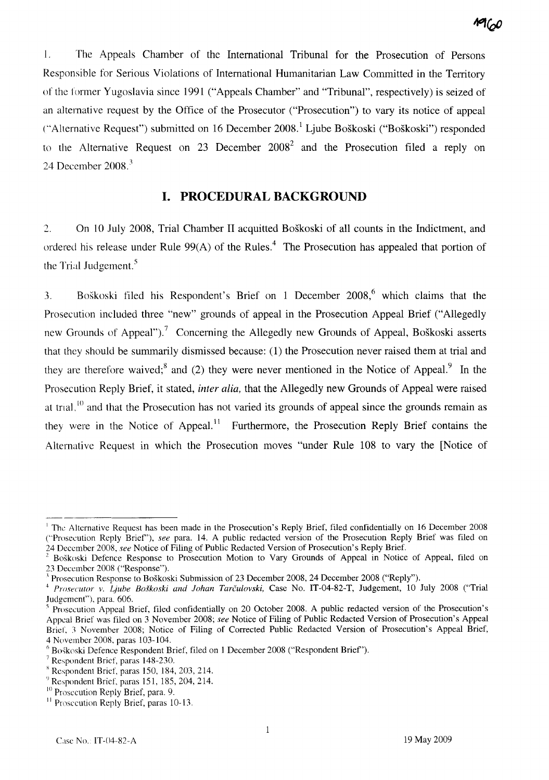

l. The Appeals Chamber of the International Tribunal for the Prosecution of Persons Responsible for Serious Violations of International Humanitarian Law Committed in the Territory of the former Yugoslavia since 1991 ("Appeals Chamber" and "Tribunal", respectively) is seized of an alternative request by the Office of the Prosecutor ("Prosecution") to vary its notice of appeal ("Alternative Request") submitted on 16 December  $2008<sup>1</sup>$  Ljube Boškoski ("Boškoski") responded to the Alternative Request on 23 December  $2008<sup>2</sup>$  and the Prosecution filed a reply on 24 December 2008. <sup>3</sup>

# **I. PROCEDURAL BACKGROUND**

2. On 10 July 2008, Trial Chamber II acquitted Boškoski of all counts in the Indictment, and ordered his release under Rule  $99(A)$  of the Rules.<sup>4</sup> The Prosecution has appealed that portion of the Trial Judgement.<sup>5</sup>

3. Boškoski filed his Respondent's Brief on 1 December  $2008$ , which claims that the Prosecution included three "new" grounds of appeal in the Prosecution Appeal Brief ("Allegedly new Grounds of Appeal").<sup>7</sup> Concerning the Allegedly new Grounds of Appeal, Boškoski asserts that they should be summarily dismissed because: (1) the Prosecution never raised them at trial and they are therefore waived;<sup>8</sup> and (2) they were never mentioned in the Notice of Appeal.<sup>9</sup> In the Prosecution Reply Brief, it stated, *inter alia,* that the Allegedly new Grounds of Appeal were raised at trial,  $\frac{10}{10}$  and that the Prosecution has not varied its grounds of appeal since the grounds remain as they were in the Notice of Appeal.<sup>11</sup> Furthermore, the Prosecution Reply Brief contains the Alternative Request in which the Prosecution moves "under Rule 108 to vary the [Notice of

<sup>--------------</sup> <sup>l</sup>The Alternative Request has been made in the Prosecution' s Reply Brief, filed confidentially on 16 December 2008 ("Prosecution Reply Brief'), *see* para. 14. A public redacted version of the Prosecution Reply Brief was filed on 24 December 2008, *see* Notice of Filing of Public Redacted Version of Prosecution' s Reply Brief.

<sup>2</sup> Boškoski Defence Response to Prosecution Motion to Vary Grounds of Appeal in Notice of Appeal, filed on 23 December 2008 ("Response").

<sup>,</sup> Prosecution Response to Boškoski Submission of 23 December 2008, 24 December 2008 ("Reply").

<sup>&</sup>lt;sup>4</sup> Prosecutor v. Ljube Boškoski and Johan Tarčulovski, Case No. IT-04-82-T, Judgement, 10 July 2008 ("Trial Judgement"), para. 606.

 $<sup>5</sup>$  Prosecution Appeal Brief, filed confidentially on 20 October 2008. A public redacted version of the Prosecution's</sup> Appeal Brief was filed on 3 November 2008; *see* Notice of Filing of Public Redacted Version of Prosecution' s Appeal Brief, 3 November 2008; Notice of Filing of Corrected Public Redacted Version of Prosecution's Appeal Brief, 4 November 2008, paras 103-104.

 $6$  Boškoski Defence Respondent Brief, filed on 1 December 2008 ("Respondent Brief").

<sup>7</sup>Respondent Brief, paras 148-230.

 $R$ Respondent Brief, paras 150, 184, 203, 214.

 $^{9}$  Respondent Brief, paras 151, 185, 204, 214.

<sup>&</sup>lt;sup>10</sup> Prosecution Reply Brief, para. 9.

 $\frac{11}{11}$  Prosecution Reply Brief, paras 10-13.